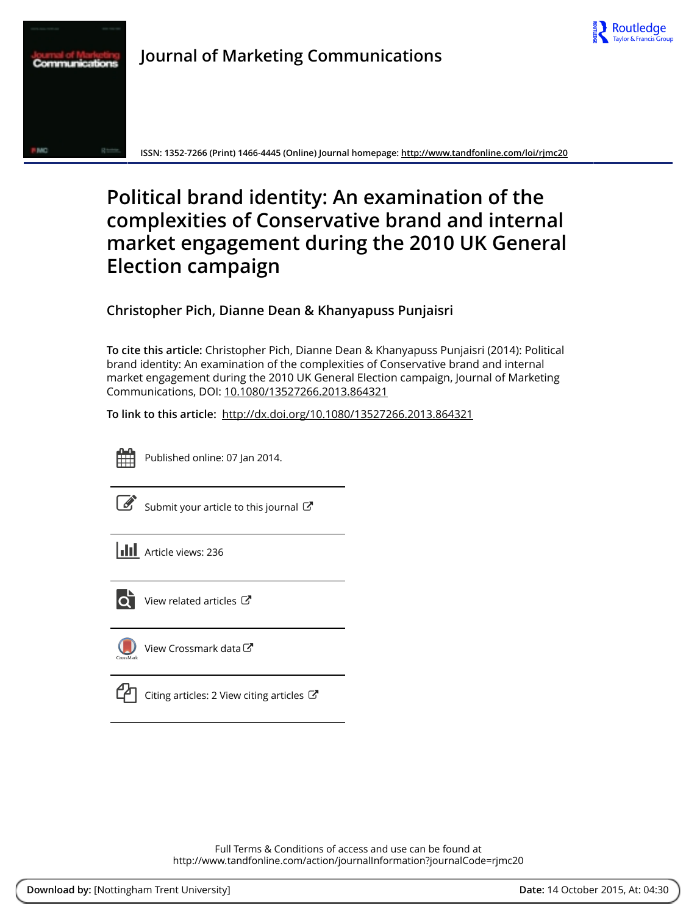



**Journal of Marketing Communications**

**ISSN: 1352-7266 (Print) 1466-4445 (Online) Journal homepage:<http://www.tandfonline.com/loi/rjmc20>**

# **Political brand identity: An examination of the complexities of Conservative brand and internal market engagement during the 2010 UK General Election campaign**

**Christopher Pich, Dianne Dean & Khanyapuss Punjaisri**

**To cite this article:** Christopher Pich, Dianne Dean & Khanyapuss Punjaisri (2014): Political brand identity: An examination of the complexities of Conservative brand and internal market engagement during the 2010 UK General Election campaign, Journal of Marketing Communications, DOI: [10.1080/13527266.2013.864321](http://www.tandfonline.com/action/showCitFormats?doi=10.1080/13527266.2013.864321)

**To link to this article:** <http://dx.doi.org/10.1080/13527266.2013.864321>



Published online: 07 Jan 2014.

[Submit your article to this journal](http://www.tandfonline.com/action/authorSubmission?journalCode=rjmc20&page=instructions)  $\mathbb{Z}$ 





 $\overrightarrow{O}$  [View related articles](http://www.tandfonline.com/doi/mlt/10.1080/13527266.2013.864321)  $\overrightarrow{C}$ 



[View Crossmark data](http://crossmark.crossref.org/dialog/?doi=10.1080/13527266.2013.864321&domain=pdf&date_stamp=2014-01-07)



[Citing articles: 2 View citing articles](http://www.tandfonline.com/doi/citedby/10.1080/13527266.2013.864321#tabModule)  $\mathbb{Z}$ 

Full Terms & Conditions of access and use can be found at <http://www.tandfonline.com/action/journalInformation?journalCode=rjmc20>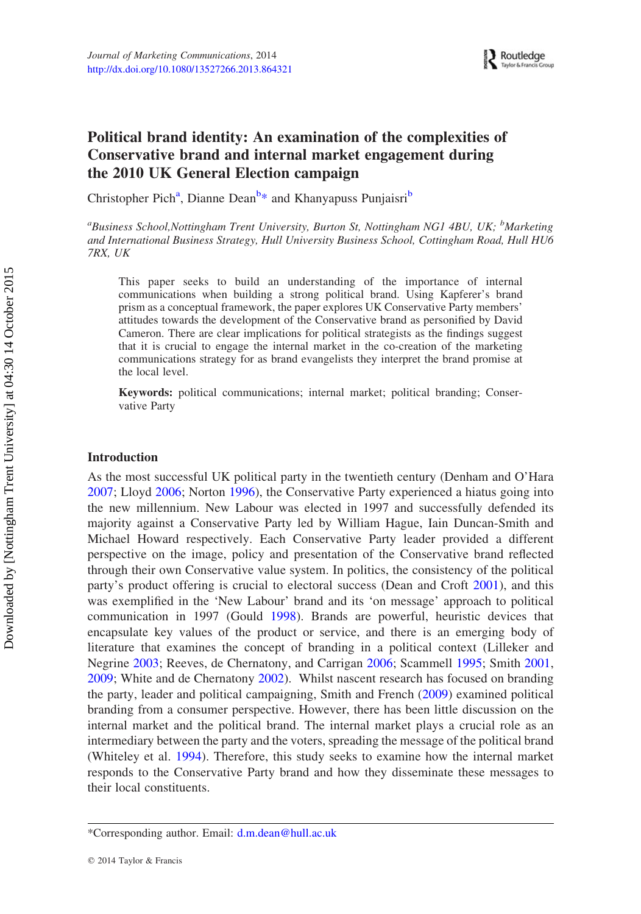# Political brand identity: An examination of the complexities of Conservative brand and internal market engagement during the 2010 UK General Election campaign

Christopher Pich<sup>[a](#page-1-0)</sup>, Dianne Dean<sup>[b](#page-1-0)</sup>[\\*](#page-1-1) and Khanyapuss Punjaisri<sup>b</sup>

<span id="page-1-0"></span><sup>a</sup>Business School,Nottingham Trent University, Burton St, Nottingham NG1 4BU, UK; <sup>b</sup>Marketing and International Business Strategy, Hull University Business School, Cottingham Road, Hull HU6 7RX, UK

This paper seeks to build an understanding of the importance of internal communications when building a strong political brand. Using Kapferer's brand prism as a conceptual framework, the paper explores UK Conservative Party members' attitudes towards the development of the Conservative brand as personified by David Cameron. There are clear implications for political strategists as the findings suggest that it is crucial to engage the internal market in the co-creation of the marketing communications strategy for as brand evangelists they interpret the brand promise at the local level.

Keywords: political communications; internal market; political branding; Conservative Party

#### Introduction

As the most successful UK political party in the twentieth century (Denham and O'Hara [2007](#page-15-0); Lloyd [2006;](#page-16-0) Norton [1996](#page-17-0)), the Conservative Party experienced a hiatus going into the new millennium. New Labour was elected in 1997 and successfully defended its majority against a Conservative Party led by William Hague, Iain Duncan-Smith and Michael Howard respectively. Each Conservative Party leader provided a different perspective on the image, policy and presentation of the Conservative brand reflected through their own Conservative value system. In politics, the consistency of the political party's product offering is crucial to electoral success (Dean and Croft [2001\)](#page-15-1), and this was exemplified in the 'New Labour' brand and its 'on message' approach to political communication in 1997 (Gould [1998\)](#page-15-2). Brands are powerful, heuristic devices that encapsulate key values of the product or service, and there is an emerging body of literature that examines the concept of branding in a political context (Lilleker and Negrine [2003](#page-16-1); Reeves, de Chernatony, and Carrigan [2006](#page-17-1); Scammell [1995;](#page-17-2) Smith [2001](#page-17-3), [2009](#page-18-0); White and de Chernatony [2002\)](#page-18-1). Whilst nascent research has focused on branding the party, leader and political campaigning, Smith and French ([2009\)](#page-18-2) examined political branding from a consumer perspective. However, there has been little discussion on the internal market and the political brand. The internal market plays a crucial role as an intermediary between the party and the voters, spreading the message of the political brand (Whiteley et al. [1994](#page-18-3)). Therefore, this study seeks to examine how the internal market responds to the Conservative Party brand and how they disseminate these messages to their local constituents.

<span id="page-1-1"></span><sup>\*</sup>Corresponding author. Email: [d.m.dean@hull.ac.uk](mailto:d.m.dean@hull.ac.uk)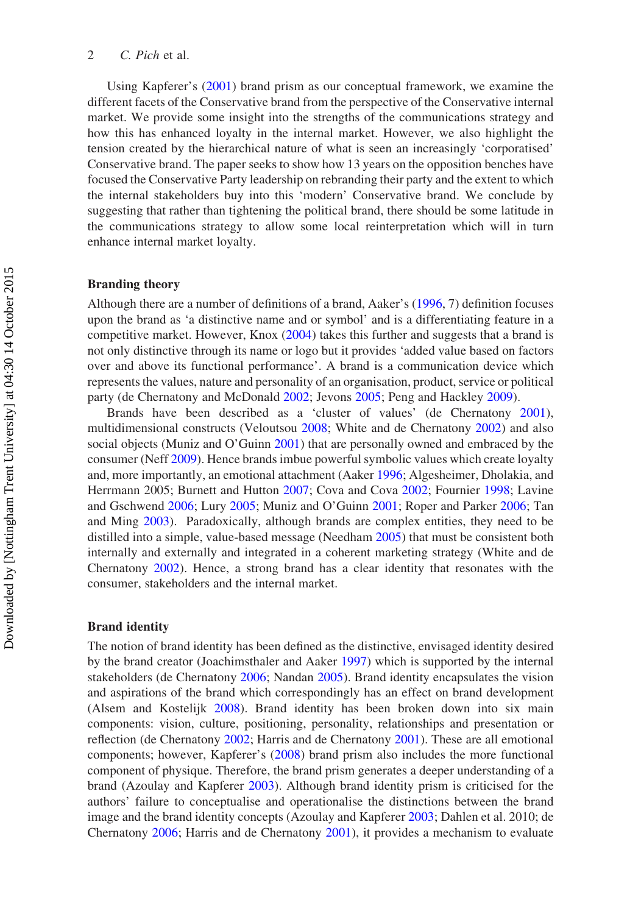# 2 C. Pich et al.

Using Kapferer's ([2001\)](#page-16-2) brand prism as our conceptual framework, we examine the different facets of the Conservative brand from the perspective of the Conservative internal market. We provide some insight into the strengths of the communications strategy and how this has enhanced loyalty in the internal market. However, we also highlight the tension created by the hierarchical nature of what is seen an increasingly 'corporatised' Conservative brand. The paper seeks to show how 13 years on the opposition benches have focused the Conservative Party leadership on rebranding their party and the extent to which the internal stakeholders buy into this 'modern' Conservative brand. We conclude by suggesting that rather than tightening the political brand, there should be some latitude in the communications strategy to allow some local reinterpretation which will in turn enhance internal market loyalty.

# Branding theory

Although there are a number of definitions of a brand, Aaker's [\(1996](#page-14-0), 7) definition focuses upon the brand as 'a distinctive name and or symbol' and is a differentiating feature in a competitive market. However, Knox ([2004\)](#page-16-3) takes this further and suggests that a brand is not only distinctive through its name or logo but it provides 'added value based on factors over and above its functional performance'. A brand is a communication device which represents the values, nature and personality of an organisation, product, service or political party (de Chernatony and McDonald [2002;](#page-15-3) Jevons [2005](#page-16-4); Peng and Hackley [2009\)](#page-17-4).

Brands have been described as a 'cluster of values' (de Chernatony [2001](#page-15-4)), multidimensional constructs (Veloutsou [2008;](#page-18-4) White and de Chernatony [2002\)](#page-18-1) and also social objects (Muniz and O'Guinn [2001](#page-17-5)) that are personally owned and embraced by the consumer (Neff [2009](#page-17-6)). Hence brands imbue powerful symbolic values which create loyalty and, more importantly, an emotional attachment (Aaker [1996;](#page-14-0) Algesheimer, Dholakia, and Herrmann 2005; Burnett and Hutton [2007;](#page-15-5) Cova and Cova [2002](#page-15-6); Fournier [1998](#page-15-7); Lavine and Gschwend [2006](#page-16-5); Lury [2005;](#page-16-6) Muniz and O'Guinn [2001](#page-17-5); Roper and Parker [2006;](#page-17-7) Tan and Ming [2003](#page-18-5)). Paradoxically, although brands are complex entities, they need to be distilled into a simple, value-based message (Needham [2005\)](#page-17-8) that must be consistent both internally and externally and integrated in a coherent marketing strategy (White and de Chernatony [2002](#page-18-1)). Hence, a strong brand has a clear identity that resonates with the consumer, stakeholders and the internal market.

#### Brand identity

The notion of brand identity has been defined as the distinctive, envisaged identity desired by the brand creator (Joachimsthaler and Aaker [1997](#page-16-7)) which is supported by the internal stakeholders (de Chernatony [2006;](#page-15-8) Nandan [2005](#page-17-9)). Brand identity encapsulates the vision and aspirations of the brand which correspondingly has an effect on brand development (Alsem and Kostelijk [2008\)](#page-14-1). Brand identity has been broken down into six main components: vision, culture, positioning, personality, relationships and presentation or reflection (de Chernatony [2002](#page-15-9); Harris and de Chernatony [2001](#page-16-8)). These are all emotional components; however, Kapferer's [\(2008](#page-16-2)) brand prism also includes the more functional component of physique. Therefore, the brand prism generates a deeper understanding of a brand (Azoulay and Kapferer [2003](#page-14-2)). Although brand identity prism is criticised for the authors' failure to conceptualise and operationalise the distinctions between the brand image and the brand identity concepts (Azoulay and Kapferer [2003;](#page-14-2) Dahlen et al. 2010; de Chernatony [2006;](#page-15-8) Harris and de Chernatony [2001](#page-16-8)), it provides a mechanism to evaluate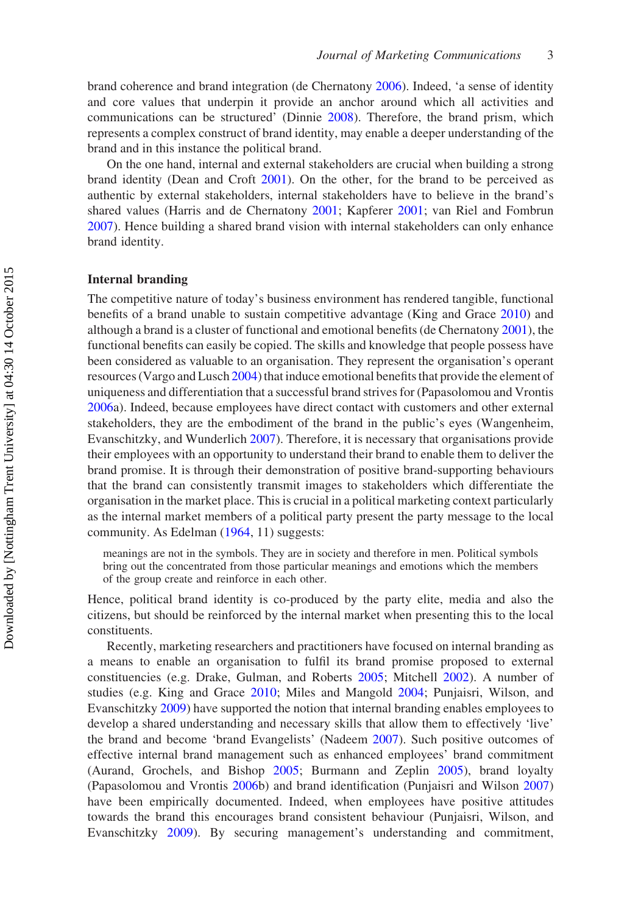brand coherence and brand integration (de Chernatony [2006\)](#page-15-8). Indeed, 'a sense of identity and core values that underpin it provide an anchor around which all activities and communications can be structured' (Dinnie [2008](#page-15-10)). Therefore, the brand prism, which represents a complex construct of brand identity, may enable a deeper understanding of the brand and in this instance the political brand.

On the one hand, internal and external stakeholders are crucial when building a strong brand identity (Dean and Croft [2001\)](#page-15-1). On the other, for the brand to be perceived as authentic by external stakeholders, internal stakeholders have to believe in the brand's shared values (Harris and de Chernatony [2001](#page-16-8); Kapferer [2001;](#page-16-2) van Riel and Fombrun [2007](#page-18-6)). Hence building a shared brand vision with internal stakeholders can only enhance brand identity.

## Internal branding

The competitive nature of today's business environment has rendered tangible, functional benefits of a brand unable to sustain competitive advantage (King and Grace [2010\)](#page-16-9) and although a brand is a cluster of functional and emotional benefits (de Chernatony [2001\)](#page-15-4), the functional benefits can easily be copied. The skills and knowledge that people possess have been considered as valuable to an organisation. They represent the organisation's operant resources (Vargo and Lusch [2004](#page-18-7)) that induce emotional benefits that provide the element of uniqueness and differentiation that a successful brand strives for (Papasolomou and Vrontis [2006](#page-17-10)a). Indeed, because employees have direct contact with customers and other external stakeholders, they are the embodiment of the brand in the public's eyes (Wangenheim, Evanschitzky, and Wunderlich [2007](#page-18-8)). Therefore, it is necessary that organisations provide their employees with an opportunity to understand their brand to enable them to deliver the brand promise. It is through their demonstration of positive brand-supporting behaviours that the brand can consistently transmit images to stakeholders which differentiate the organisation in the market place. This is crucial in a political marketing context particularly as the internal market members of a political party present the party message to the local community. As Edelman ([1964,](#page-15-11) 11) suggests:

meanings are not in the symbols. They are in society and therefore in men. Political symbols bring out the concentrated from those particular meanings and emotions which the members of the group create and reinforce in each other.

Hence, political brand identity is co-produced by the party elite, media and also the citizens, but should be reinforced by the internal market when presenting this to the local constituents.

Recently, marketing researchers and practitioners have focused on internal branding as a means to enable an organisation to fulfil its brand promise proposed to external constituencies (e.g. Drake, Gulman, and Roberts [2005](#page-15-12); Mitchell [2002\)](#page-16-10). A number of studies (e.g. King and Grace [2010;](#page-16-9) Miles and Mangold [2004](#page-16-11); Punjaisri, Wilson, and Evanschitzky [2009](#page-17-11)) have supported the notion that internal branding enables employees to develop a shared understanding and necessary skills that allow them to effectively 'live' the brand and become 'brand Evangelists' (Nadeem [2007\)](#page-17-12). Such positive outcomes of effective internal brand management such as enhanced employees' brand commitment (Aurand, Grochels, and Bishop [2005](#page-14-3); Burmann and Zeplin [2005\)](#page-15-13), brand loyalty (Papasolomou and Vrontis [2006b](#page-17-13)) and brand identification (Punjaisri and Wilson [2007\)](#page-17-14) have been empirically documented. Indeed, when employees have positive attitudes towards the brand this encourages brand consistent behaviour (Punjaisri, Wilson, and Evanschitzky [2009\)](#page-17-11). By securing management's understanding and commitment,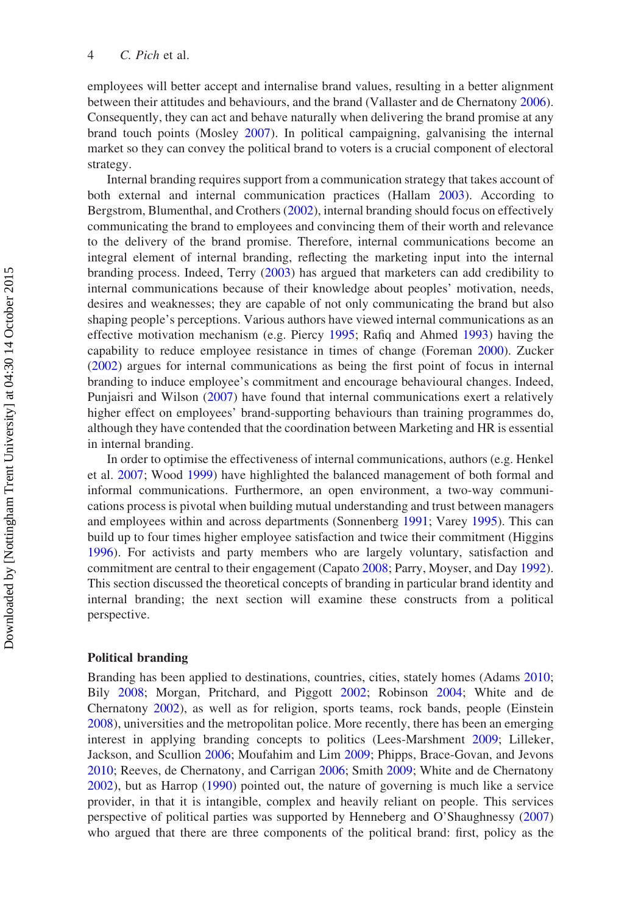employees will better accept and internalise brand values, resulting in a better alignment between their attitudes and behaviours, and the brand (Vallaster and de Chernatony [2006](#page-18-9)). Consequently, they can act and behave naturally when delivering the brand promise at any brand touch points (Mosley [2007](#page-17-15)). In political campaigning, galvanising the internal market so they can convey the political brand to voters is a crucial component of electoral strategy.

Internal branding requires support from a communication strategy that takes account of both external and internal communication practices (Hallam [2003\)](#page-15-14). According to Bergstrom, Blumenthal, and Crothers [\(2002](#page-14-4)), internal branding should focus on effectively communicating the brand to employees and convincing them of their worth and relevance to the delivery of the brand promise. Therefore, internal communications become an integral element of internal branding, reflecting the marketing input into the internal branding process. Indeed, Terry ([2003\)](#page-18-10) has argued that marketers can add credibility to internal communications because of their knowledge about peoples' motivation, needs, desires and weaknesses; they are capable of not only communicating the brand but also shaping people's perceptions. Various authors have viewed internal communications as an effective motivation mechanism (e.g. Piercy [1995](#page-17-16); Rafiq and Ahmed [1993\)](#page-17-17) having the capability to reduce employee resistance in times of change (Foreman [2000](#page-15-15)). Zucker ([2002\)](#page-18-11) argues for internal communications as being the first point of focus in internal branding to induce employee's commitment and encourage behavioural changes. Indeed, Punjaisri and Wilson [\(2007](#page-17-14)) have found that internal communications exert a relatively higher effect on employees' brand-supporting behaviours than training programmes do, although they have contended that the coordination between Marketing and HR is essential in internal branding.

In order to optimise the effectiveness of internal communications, authors (e.g. Henkel et al. [2007](#page-16-12); Wood [1999\)](#page-18-12) have highlighted the balanced management of both formal and informal communications. Furthermore, an open environment, a two-way communications process is pivotal when building mutual understanding and trust between managers and employees within and across departments (Sonnenberg [1991;](#page-18-13) Varey [1995\)](#page-18-14). This can build up to four times higher employee satisfaction and twice their commitment (Higgins [1996](#page-16-13)). For activists and party members who are largely voluntary, satisfaction and commitment are central to their engagement (Capato [2008;](#page-15-16) Parry, Moyser, and Day [1992](#page-17-18)). This section discussed the theoretical concepts of branding in particular brand identity and internal branding; the next section will examine these constructs from a political perspective.

#### Political branding

Branding has been applied to destinations, countries, cities, stately homes (Adams [2010](#page-14-5); Bily [2008;](#page-15-17) Morgan, Pritchard, and Piggott [2002;](#page-16-14) Robinson [2004;](#page-17-19) White and de Chernatony [2002](#page-18-1)), as well as for religion, sports teams, rock bands, people (Einstein [2008](#page-15-18)), universities and the metropolitan police. More recently, there has been an emerging interest in applying branding concepts to politics (Lees-Marshment [2009](#page-16-15); Lilleker, Jackson, and Scullion [2006;](#page-16-16) Moufahim and Lim [2009;](#page-17-20) Phipps, Brace-Govan, and Jevons [2010](#page-17-21); Reeves, de Chernatony, and Carrigan [2006](#page-17-1); Smith [2009](#page-18-0); White and de Chernatony [2002](#page-18-1)), but as Harrop ([1990\)](#page-16-17) pointed out, the nature of governing is much like a service provider, in that it is intangible, complex and heavily reliant on people. This services perspective of political parties was supported by Henneberg and O'Shaughnessy ([2007\)](#page-16-18) who argued that there are three components of the political brand: first, policy as the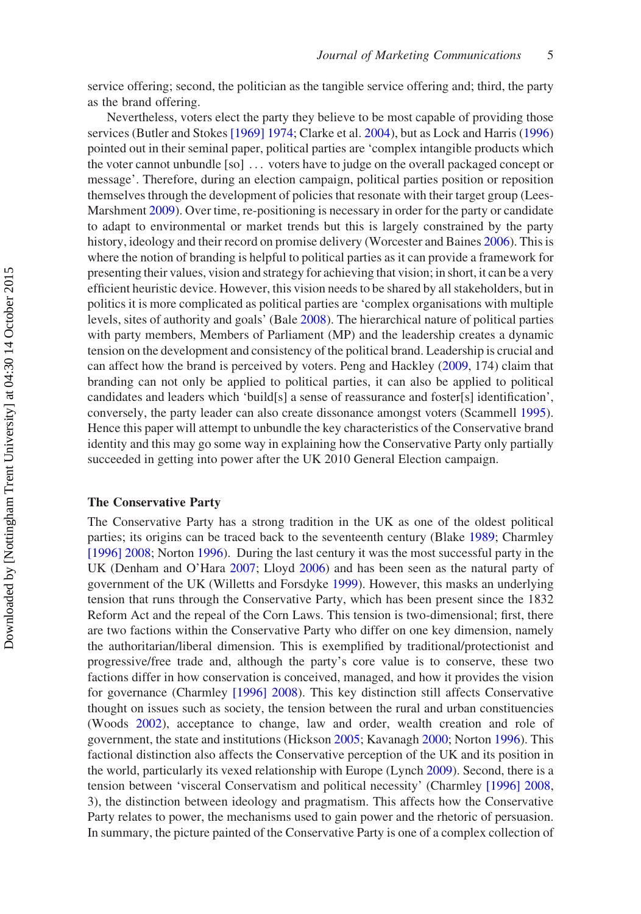service offering; second, the politician as the tangible service offering and; third, the party as the brand offering.

Nevertheless, voters elect the party they believe to be most capable of providing those services (Butler and Stokes [\[1969\] 1974;](#page-15-19) Clarke et al. [2004](#page-15-20)), but as Lock and Harris ([1996\)](#page-16-19) pointed out in their seminal paper, political parties are 'complex intangible products which the voter cannot unbundle [so] ... voters have to judge on the overall packaged concept or message'. Therefore, during an election campaign, political parties position or reposition themselves through the development of policies that resonate with their target group (Lees-Marshment [2009\)](#page-16-15). Over time, re-positioning is necessary in order for the party or candidate to adapt to environmental or market trends but this is largely constrained by the party history, ideology and their record on promise delivery (Worcester and Baines [2006](#page-18-15)). This is where the notion of branding is helpful to political parties as it can provide a framework for presenting their values, vision and strategy for achieving that vision; in short, it can be a very efficient heuristic device. However, this vision needs to be shared by all stakeholders, but in politics it is more complicated as political parties are 'complex organisations with multiple levels, sites of authority and goals' (Bale [2008](#page-14-6)). The hierarchical nature of political parties with party members, Members of Parliament (MP) and the leadership creates a dynamic tension on the development and consistency of the political brand. Leadership is crucial and can affect how the brand is perceived by voters. Peng and Hackley [\(2009](#page-17-4), 174) claim that branding can not only be applied to political parties, it can also be applied to political candidates and leaders which 'build[s] a sense of reassurance and foster[s] identification', conversely, the party leader can also create dissonance amongst voters (Scammell [1995](#page-17-2)). Hence this paper will attempt to unbundle the key characteristics of the Conservative brand identity and this may go some way in explaining how the Conservative Party only partially succeeded in getting into power after the UK 2010 General Election campaign.

## The Conservative Party

The Conservative Party has a strong tradition in the UK as one of the oldest political parties; its origins can be traced back to the seventeenth century (Blake [1989;](#page-15-21) Charmley [\[1996\] 2008](#page-15-22); Norton [1996\)](#page-17-0). During the last century it was the most successful party in the UK (Denham and O'Hara [2007;](#page-15-0) Lloyd [2006](#page-16-0)) and has been seen as the natural party of government of the UK (Willetts and Forsdyke [1999](#page-18-16)). However, this masks an underlying tension that runs through the Conservative Party, which has been present since the 1832 Reform Act and the repeal of the Corn Laws. This tension is two-dimensional; first, there are two factions within the Conservative Party who differ on one key dimension, namely the authoritarian/liberal dimension. This is exemplified by traditional/protectionist and progressive/free trade and, although the party's core value is to conserve, these two factions differ in how conservation is conceived, managed, and how it provides the vision for governance (Charmley [\[1996\] 2008](#page-15-22)). This key distinction still affects Conservative thought on issues such as society, the tension between the rural and urban constituencies (Woods [2002\)](#page-18-17), acceptance to change, law and order, wealth creation and role of government, the state and institutions (Hickson [2005](#page-16-20); Kavanagh [2000;](#page-16-21) Norton [1996](#page-17-0)). This factional distinction also affects the Conservative perception of the UK and its position in the world, particularly its vexed relationship with Europe (Lynch [2009](#page-16-22)). Second, there is a tension between 'visceral Conservatism and political necessity' (Charmley [\[1996\] 2008](#page-15-22), 3), the distinction between ideology and pragmatism. This affects how the Conservative Party relates to power, the mechanisms used to gain power and the rhetoric of persuasion. In summary, the picture painted of the Conservative Party is one of a complex collection of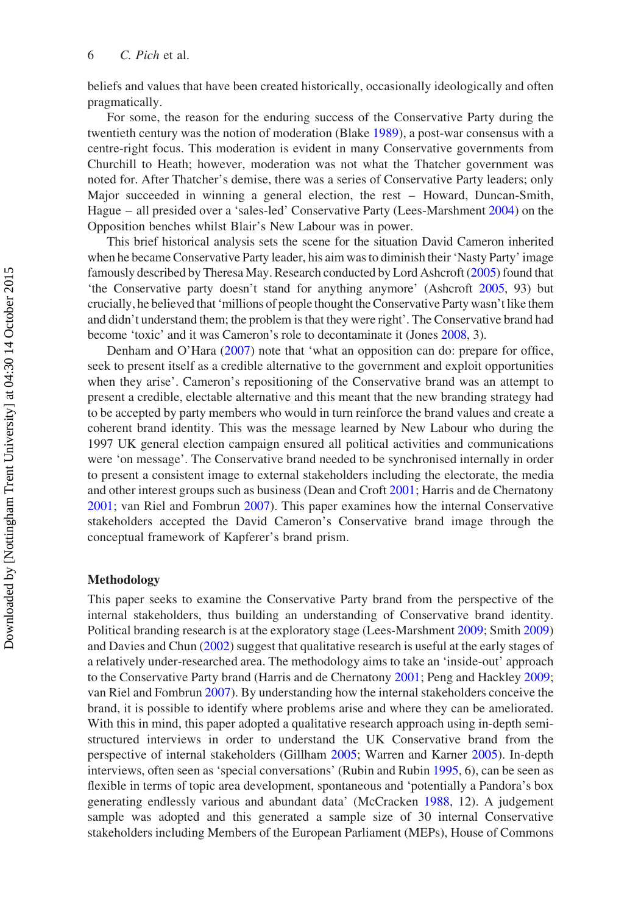beliefs and values that have been created historically, occasionally ideologically and often pragmatically.

For some, the reason for the enduring success of the Conservative Party during the twentieth century was the notion of moderation (Blake [1989\)](#page-15-21), a post-war consensus with a centre-right focus. This moderation is evident in many Conservative governments from Churchill to Heath; however, moderation was not what the Thatcher government was noted for. After Thatcher's demise, there was a series of Conservative Party leaders; only Major succeeded in winning a general election, the rest – Howard, Duncan-Smith, Hague – all presided over a 'sales-led' Conservative Party (Lees-Marshment [2004\)](#page-16-23) on the Opposition benches whilst Blair's New Labour was in power.

This brief historical analysis sets the scene for the situation David Cameron inherited when he became Conservative Party leader, his aim was to diminish their 'Nasty Party' image famously described by Theresa May. Research conducted by Lord Ashcroft [\(2005\)](#page-14-7) found that 'the Conservative party doesn't stand for anything anymore' (Ashcroft [2005](#page-14-7), 93) but crucially, he believed that 'millions of people thought the Conservative Party wasn't likethem and didn't understand them; the problem is that they were right'. The Conservative brand had become 'toxic' and it was Cameron's role to decontaminate it (Jones [2008,](#page-16-24) 3).

Denham and O'Hara ([2007\)](#page-15-0) note that 'what an opposition can do: prepare for office, seek to present itself as a credible alternative to the government and exploit opportunities when they arise'. Cameron's repositioning of the Conservative brand was an attempt to present a credible, electable alternative and this meant that the new branding strategy had to be accepted by party members who would in turn reinforce the brand values and create a coherent brand identity. This was the message learned by New Labour who during the 1997 UK general election campaign ensured all political activities and communications were 'on message'. The Conservative brand needed to be synchronised internally in order to present a consistent image to external stakeholders including the electorate, the media and other interest groups such as business (Dean and Croft [2001;](#page-15-1) Harris and de Chernatony [2001](#page-16-8); van Riel and Fombrun [2007\)](#page-18-6). This paper examines how the internal Conservative stakeholders accepted the David Cameron's Conservative brand image through the conceptual framework of Kapferer's brand prism.

# Methodology

This paper seeks to examine the Conservative Party brand from the perspective of the internal stakeholders, thus building an understanding of Conservative brand identity. Political branding research is at the exploratory stage (Lees-Marshment [2009;](#page-16-15) Smith [2009\)](#page-18-0) and Davies and Chun ([2002\)](#page-15-23) suggest that qualitative research is useful at the early stages of a relatively under-researched area. The methodology aims to take an 'inside-out' approach to the Conservative Party brand (Harris and de Chernatony [2001](#page-16-8); Peng and Hackley [2009](#page-17-4); van Riel and Fombrun [2007\)](#page-18-6). By understanding how the internal stakeholders conceive the brand, it is possible to identify where problems arise and where they can be ameliorated. With this in mind, this paper adopted a qualitative research approach using in-depth semistructured interviews in order to understand the UK Conservative brand from the perspective of internal stakeholders (Gillham [2005;](#page-15-24) Warren and Karner [2005\)](#page-18-18). In-depth interviews, often seen as 'special conversations' (Rubin and Rubin [1995,](#page-17-22) 6), can be seen as flexible in terms of topic area development, spontaneous and 'potentially a Pandora's box generating endlessly various and abundant data' (McCracken [1988,](#page-16-25) 12). A judgement sample was adopted and this generated a sample size of 30 internal Conservative stakeholders including Members of the European Parliament (MEPs), House of Commons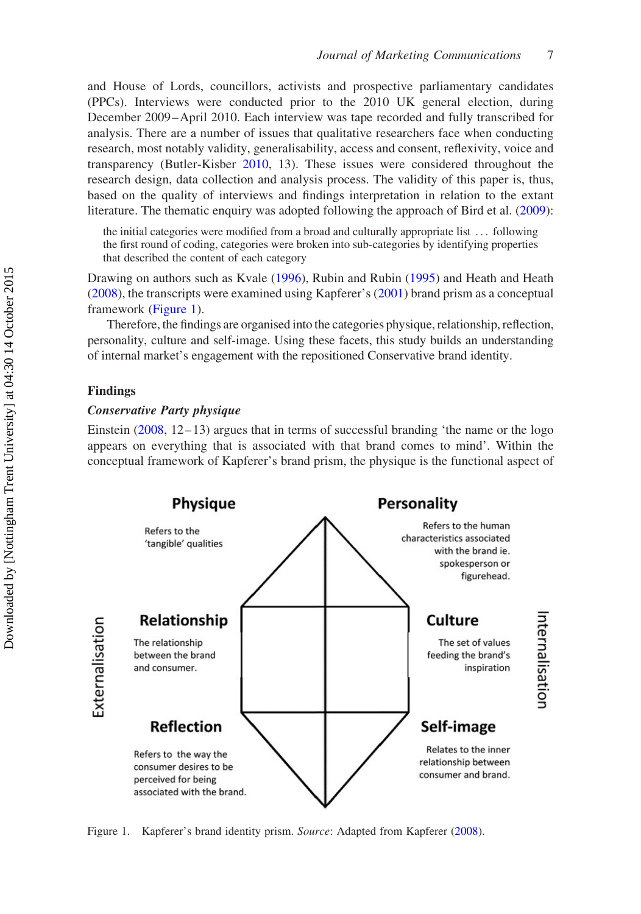and House of Lords, councillors, activists and prospective parliamentary candidates (PPCs). Interviews were conducted prior to the 2010 UK general election, during December 2009 –April 2010. Each interview was tape recorded and fully transcribed for analysis. There are a number of issues that qualitative researchers face when conducting research, most notably validity, generalisability, access and consent, reflexivity, voice and transparency (Butler-Kisber [2010,](#page-15-25) 13). These issues were considered throughout the research design, data collection and analysis process. The validity of this paper is, thus, based on the quality of interviews and findings interpretation in relation to the extant literature. The thematic enquiry was adopted following the approach of Bird et al. ([2009\)](#page-15-26):

the initial categories were modified from a broad and culturally appropriate list ... following the first round of coding, categories were broken into sub-categories by identifying properties that described the content of each category

Drawing on authors such as Kvale ([1996\)](#page-16-26), Rubin and Rubin [\(1995\)](#page-17-22) and Heath and Heath ([2008\)](#page-16-27), the transcripts were examined using Kapferer's ([2001\)](#page-16-2) brand prism as a conceptual framework [\(Figure 1\)](#page-7-0).

Therefore, the findings are organised into the categories physique, relationship, reflection, personality, culture and self-image. Using these facets, this study builds an understanding of internal market's engagement with the repositioned Conservative brand identity.

#### Findings

#### Conservative Party physique

Einstein  $(2008, 12-13)$  $(2008, 12-13)$  argues that in terms of successful branding 'the name or the logo appears on everything that is associated with that brand comes to mind'. Within the conceptual framework of Kapferer's brand prism, the physique is the functional aspect of

<span id="page-7-0"></span>

Figure 1. Kapferer's brand identity prism. Source: Adapted from Kapferer ([2008\)](#page-16-28).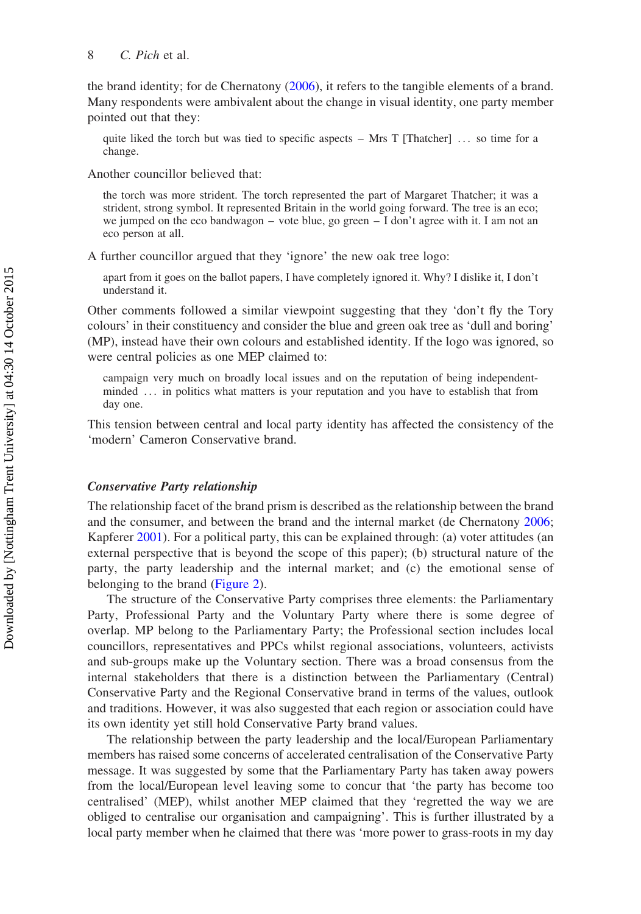the brand identity; for de Chernatony [\(2006](#page-15-8)), it refers to the tangible elements of a brand. Many respondents were ambivalent about the change in visual identity, one party member pointed out that they:

quite liked the torch but was tied to specific aspects – Mrs T [Thatcher] ... so time for a change.

Another councillor believed that:

the torch was more strident. The torch represented the part of Margaret Thatcher; it was a strident, strong symbol. It represented Britain in the world going forward. The tree is an eco; we jumped on the eco bandwagon – vote blue, go green – I don't agree with it. I am not an eco person at all.

A further councillor argued that they 'ignore' the new oak tree logo:

apart from it goes on the ballot papers, I have completely ignored it. Why? I dislike it, I don't understand it.

Other comments followed a similar viewpoint suggesting that they 'don't fly the Tory colours' in their constituency and consider the blue and green oak tree as 'dull and boring' (MP), instead have their own colours and established identity. If the logo was ignored, so were central policies as one MEP claimed to:

campaign very much on broadly local issues and on the reputation of being independentminded ... in politics what matters is your reputation and you have to establish that from day one.

This tension between central and local party identity has affected the consistency of the 'modern' Cameron Conservative brand.

#### Conservative Party relationship

The relationship facet of the brand prism is described as the relationship between the brand and the consumer, and between the brand and the internal market (de Chernatony [2006](#page-15-8); Kapferer [2001](#page-16-2)). For a political party, this can be explained through: (a) voter attitudes (an external perspective that is beyond the scope of this paper); (b) structural nature of the party, the party leadership and the internal market; and (c) the emotional sense of belonging to the brand [\(Figure 2\)](#page-9-0).

The structure of the Conservative Party comprises three elements: the Parliamentary Party, Professional Party and the Voluntary Party where there is some degree of overlap. MP belong to the Parliamentary Party; the Professional section includes local councillors, representatives and PPCs whilst regional associations, volunteers, activists and sub-groups make up the Voluntary section. There was a broad consensus from the internal stakeholders that there is a distinction between the Parliamentary (Central) Conservative Party and the Regional Conservative brand in terms of the values, outlook and traditions. However, it was also suggested that each region or association could have its own identity yet still hold Conservative Party brand values.

The relationship between the party leadership and the local/European Parliamentary members has raised some concerns of accelerated centralisation of the Conservative Party message. It was suggested by some that the Parliamentary Party has taken away powers from the local/European level leaving some to concur that 'the party has become too centralised' (MEP), whilst another MEP claimed that they 'regretted the way we are obliged to centralise our organisation and campaigning'. This is further illustrated by a local party member when he claimed that there was 'more power to grass-roots in my day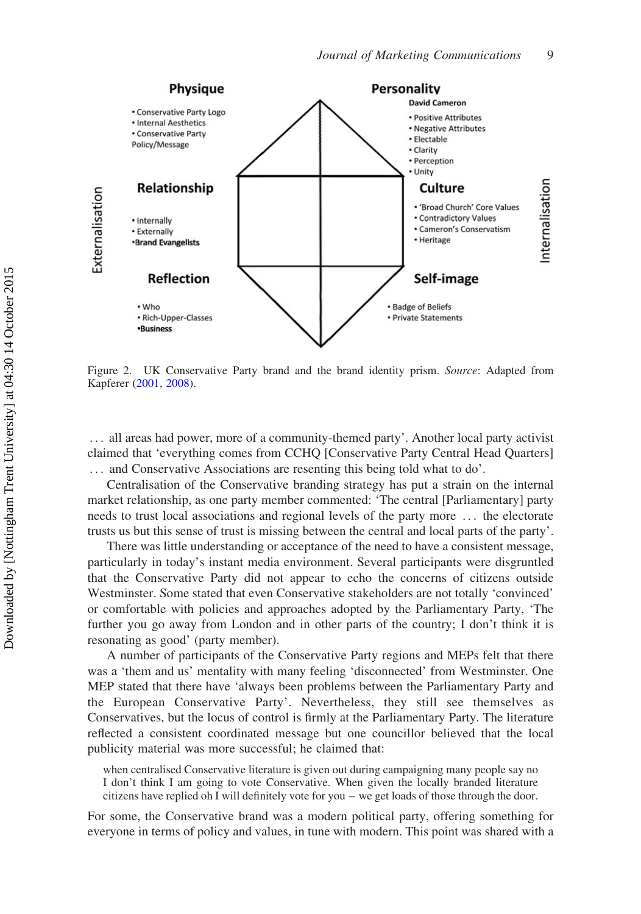<span id="page-9-0"></span>

Figure 2. UK Conservative Party brand and the brand identity prism. Source: Adapted from Kapferer ([2001,](#page-16-2) [2008\)](#page-16-28).

... all areas had power, more of a community-themed party'. Another local party activist claimed that 'everything comes from CCHQ [Conservative Party Central Head Quarters] ... and Conservative Associations are resenting this being told what to do'.

Centralisation of the Conservative branding strategy has put a strain on the internal market relationship, as one party member commented: 'The central [Parliamentary] party needs to trust local associations and regional levels of the party more ... the electorate trusts us but this sense of trust is missing between the central and local parts of the party'.

There was little understanding or acceptance of the need to have a consistent message, particularly in today's instant media environment. Several participants were disgruntled that the Conservative Party did not appear to echo the concerns of citizens outside Westminster. Some stated that even Conservative stakeholders are not totally 'convinced' or comfortable with policies and approaches adopted by the Parliamentary Party, 'The further you go away from London and in other parts of the country; I don't think it is resonating as good' (party member).

A number of participants of the Conservative Party regions and MEPs felt that there was a 'them and us' mentality with many feeling 'disconnected' from Westminster. One MEP stated that there have 'always been problems between the Parliamentary Party and the European Conservative Party'. Nevertheless, they still see themselves as Conservatives, but the locus of control is firmly at the Parliamentary Party. The literature reflected a consistent coordinated message but one councillor believed that the local publicity material was more successful; he claimed that:

when centralised Conservative literature is given out during campaigning many people say no I don't think I am going to vote Conservative. When given the locally branded literature citizens have replied oh I will definitely vote for you – we get loads of those through the door.

For some, the Conservative brand was a modern political party, offering something for everyone in terms of policy and values, in tune with modern. This point was shared with a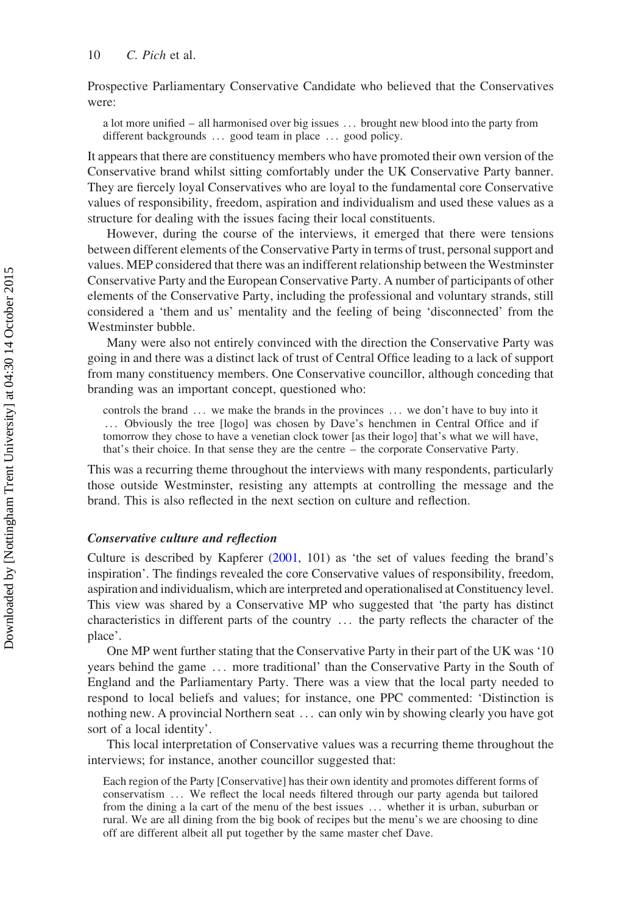Prospective Parliamentary Conservative Candidate who believed that the Conservatives were:

a lot more unified – all harmonised over big issues ... brought new blood into the party from different backgrounds ... good team in place ... good policy.

It appears that there are constituency members who have promoted their own version of the Conservative brand whilst sitting comfortably under the UK Conservative Party banner. They are fiercely loyal Conservatives who are loyal to the fundamental core Conservative values of responsibility, freedom, aspiration and individualism and used these values as a structure for dealing with the issues facing their local constituents.

However, during the course of the interviews, it emerged that there were tensions between different elements of the Conservative Party in terms of trust, personal support and values. MEP considered that there was an indifferent relationship between the Westminster Conservative Party and the European Conservative Party. A number of participants of other elements of the Conservative Party, including the professional and voluntary strands, still considered a 'them and us' mentality and the feeling of being 'disconnected' from the Westminster bubble.

Many were also not entirely convinced with the direction the Conservative Party was going in and there was a distinct lack of trust of Central Office leading to a lack of support from many constituency members. One Conservative councillor, although conceding that branding was an important concept, questioned who:

controls the brand ... we make the brands in the provinces ... we don't have to buy into it ... Obviously the tree [logo] was chosen by Dave's henchmen in Central Office and if tomorrow they chose to have a venetian clock tower [as their logo] that's what we will have, that's their choice. In that sense they are the centre – the corporate Conservative Party.

This was a recurring theme throughout the interviews with many respondents, particularly those outside Westminster, resisting any attempts at controlling the message and the brand. This is also reflected in the next section on culture and reflection.

# Conservative culture and reflection

Culture is described by Kapferer ([2001](#page-16-2), 101) as 'the set of values feeding the brand's inspiration'. The findings revealed the core Conservative values of responsibility, freedom, aspiration and individualism, which are interpreted and operationalised at Constituency level. This view was shared by a Conservative MP who suggested that 'the party has distinct characteristics in different parts of the country ... the party reflects the character of the place'.

One MP went further stating that the Conservative Party in their part of the UK was '10 years behind the game ... more traditional' than the Conservative Party in the South of England and the Parliamentary Party. There was a view that the local party needed to respond to local beliefs and values; for instance, one PPC commented: 'Distinction is nothing new. A provincial Northern seat ... can only win by showing clearly you have got sort of a local identity'.

This local interpretation of Conservative values was a recurring theme throughout the interviews; for instance, another councillor suggested that:

Each region of the Party [Conservative] has their own identity and promotes different forms of conservatism ... We reflect the local needs filtered through our party agenda but tailored from the dining a la cart of the menu of the best issues ... whether it is urban, suburban or rural. We are all dining from the big book of recipes but the menu's we are choosing to dine off are different albeit all put together by the same master chef Dave.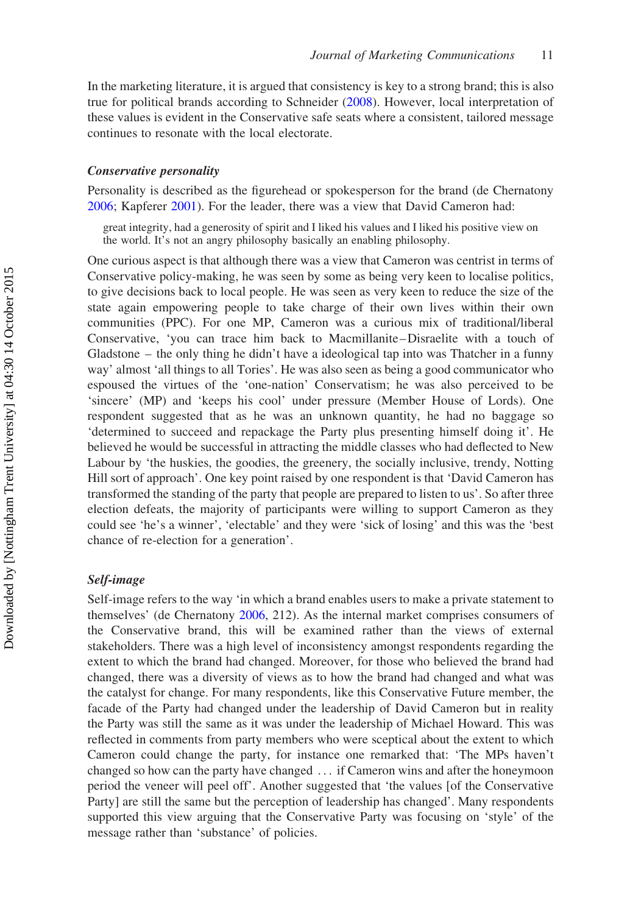In the marketing literature, it is argued that consistency is key to a strong brand; this is also true for political brands according to Schneider ([2008\)](#page-17-23). However, local interpretation of these values is evident in the Conservative safe seats where a consistent, tailored message continues to resonate with the local electorate.

#### Conservative personality

Personality is described as the figurehead or spokesperson for the brand (de Chernatony [2006](#page-15-8); Kapferer [2001\)](#page-16-2). For the leader, there was a view that David Cameron had:

great integrity, had a generosity of spirit and I liked his values and I liked his positive view on the world. It's not an angry philosophy basically an enabling philosophy.

One curious aspect is that although there was a view that Cameron was centrist in terms of Conservative policy-making, he was seen by some as being very keen to localise politics, to give decisions back to local people. He was seen as very keen to reduce the size of the state again empowering people to take charge of their own lives within their own communities (PPC). For one MP, Cameron was a curious mix of traditional/liberal Conservative, 'you can trace him back to Macmillanite –Disraelite with a touch of Gladstone – the only thing he didn't have a ideological tap into was Thatcher in a funny way' almost 'all things to all Tories'. He was also seen as being a good communicator who espoused the virtues of the 'one-nation' Conservatism; he was also perceived to be 'sincere' (MP) and 'keeps his cool' under pressure (Member House of Lords). One respondent suggested that as he was an unknown quantity, he had no baggage so 'determined to succeed and repackage the Party plus presenting himself doing it'. He believed he would be successful in attracting the middle classes who had deflected to New Labour by 'the huskies, the goodies, the greenery, the socially inclusive, trendy, Notting Hill sort of approach'. One key point raised by one respondent is that 'David Cameron has transformed the standing of the party that people are prepared to listen to us'. So after three election defeats, the majority of participants were willing to support Cameron as they could see 'he's a winner', 'electable' and they were 'sick of losing' and this was the 'best chance of re-election for a generation'.

#### Self-image

Self-image refers to the way 'in which a brand enables users to make a private statement to themselves' (de Chernatony [2006,](#page-15-8) 212). As the internal market comprises consumers of the Conservative brand, this will be examined rather than the views of external stakeholders. There was a high level of inconsistency amongst respondents regarding the extent to which the brand had changed. Moreover, for those who believed the brand had changed, there was a diversity of views as to how the brand had changed and what was the catalyst for change. For many respondents, like this Conservative Future member, the facade of the Party had changed under the leadership of David Cameron but in reality the Party was still the same as it was under the leadership of Michael Howard. This was reflected in comments from party members who were sceptical about the extent to which Cameron could change the party, for instance one remarked that: 'The MPs haven't changed so how can the party have changed ... if Cameron wins and after the honeymoon period the veneer will peel off'. Another suggested that 'the values [of the Conservative Party] are still the same but the perception of leadership has changed'. Many respondents supported this view arguing that the Conservative Party was focusing on 'style' of the message rather than 'substance' of policies.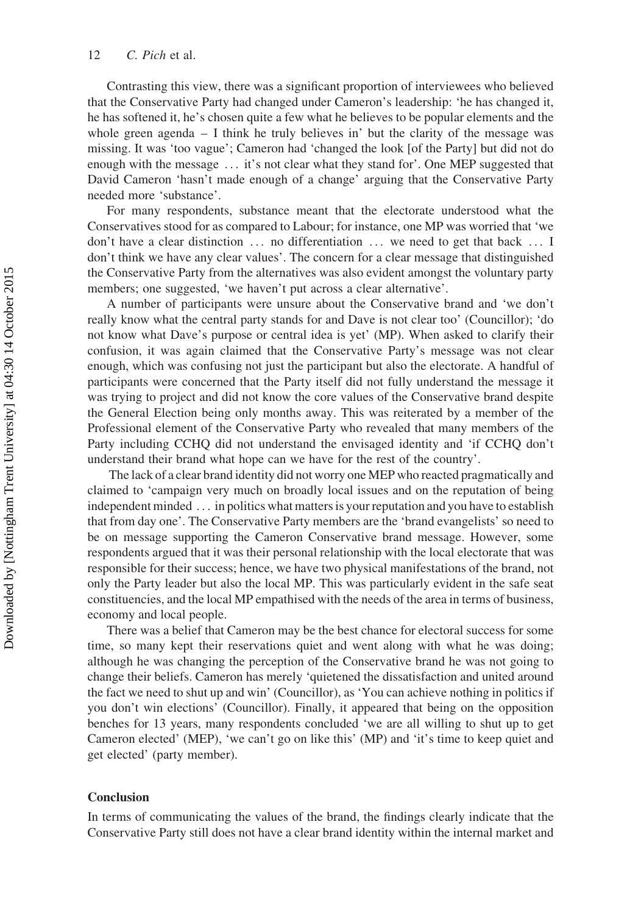Contrasting this view, there was a significant proportion of interviewees who believed that the Conservative Party had changed under Cameron's leadership: 'he has changed it, he has softened it, he's chosen quite a few what he believes to be popular elements and the whole green agenda  $-$  I think he truly believes in' but the clarity of the message was missing. It was 'too vague'; Cameron had 'changed the look [of the Party] but did not do enough with the message ... it's not clear what they stand for'. One MEP suggested that David Cameron 'hasn't made enough of a change' arguing that the Conservative Party needed more 'substance'.

For many respondents, substance meant that the electorate understood what the Conservatives stood for as compared to Labour; for instance, one MP was worried that 'we don't have a clear distinction ... no differentiation ... we need to get that back ... I don't think we have any clear values'. The concern for a clear message that distinguished the Conservative Party from the alternatives was also evident amongst the voluntary party members; one suggested, 'we haven't put across a clear alternative'.

A number of participants were unsure about the Conservative brand and 'we don't really know what the central party stands for and Dave is not clear too' (Councillor); 'do not know what Dave's purpose or central idea is yet' (MP). When asked to clarify their confusion, it was again claimed that the Conservative Party's message was not clear enough, which was confusing not just the participant but also the electorate. A handful of participants were concerned that the Party itself did not fully understand the message it was trying to project and did not know the core values of the Conservative brand despite the General Election being only months away. This was reiterated by a member of the Professional element of the Conservative Party who revealed that many members of the Party including CCHQ did not understand the envisaged identity and 'if CCHQ don't understand their brand what hope can we have for the rest of the country'.

The lack of a clear brand identity did not worry one MEP who reacted pragmatically and claimed to 'campaign very much on broadly local issues and on the reputation of being independent minded ... in politics what matters is your reputation and you have to establish that from day one'. The Conservative Party members are the 'brand evangelists' so need to be on message supporting the Cameron Conservative brand message. However, some respondents argued that it was their personal relationship with the local electorate that was responsible for their success; hence, we have two physical manifestations of the brand, not only the Party leader but also the local MP. This was particularly evident in the safe seat constituencies, and the local MP empathised with the needs of the area in terms of business, economy and local people.

There was a belief that Cameron may be the best chance for electoral success for some time, so many kept their reservations quiet and went along with what he was doing; although he was changing the perception of the Conservative brand he was not going to change their beliefs. Cameron has merely 'quietened the dissatisfaction and united around the fact we need to shut up and win' (Councillor), as 'You can achieve nothing in politics if you don't win elections' (Councillor). Finally, it appeared that being on the opposition benches for 13 years, many respondents concluded 'we are all willing to shut up to get Cameron elected' (MEP), 'we can't go on like this' (MP) and 'it's time to keep quiet and get elected' (party member).

#### Conclusion

In terms of communicating the values of the brand, the findings clearly indicate that the Conservative Party still does not have a clear brand identity within the internal market and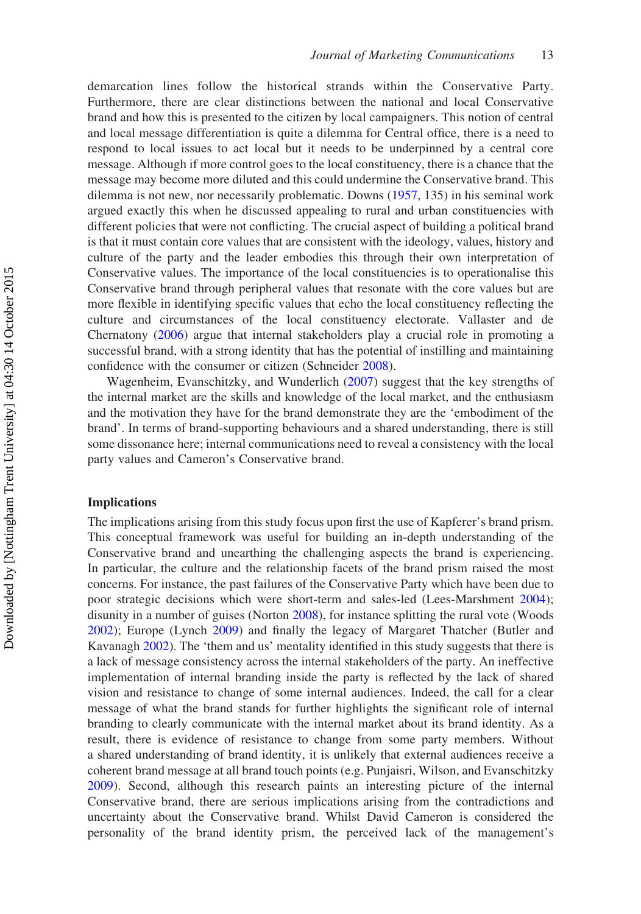demarcation lines follow the historical strands within the Conservative Party. Furthermore, there are clear distinctions between the national and local Conservative brand and how this is presented to the citizen by local campaigners. This notion of central and local message differentiation is quite a dilemma for Central office, there is a need to respond to local issues to act local but it needs to be underpinned by a central core message. Although if more control goes to the local constituency, there is a chance that the message may become more diluted and this could undermine the Conservative brand. This dilemma is not new, nor necessarily problematic. Downs [\(1957](#page-15-27), 135) in his seminal work argued exactly this when he discussed appealing to rural and urban constituencies with different policies that were not conflicting. The crucial aspect of building a political brand is that it must contain core values that are consistent with the ideology, values, history and culture of the party and the leader embodies this through their own interpretation of Conservative values. The importance of the local constituencies is to operationalise this Conservative brand through peripheral values that resonate with the core values but are more flexible in identifying specific values that echo the local constituency reflecting the culture and circumstances of the local constituency electorate. Vallaster and de Chernatony [\(2006](#page-18-9)) argue that internal stakeholders play a crucial role in promoting a successful brand, with a strong identity that has the potential of instilling and maintaining confidence with the consumer or citizen (Schneider [2008\)](#page-17-23).

Wagenheim, Evanschitzky, and Wunderlich [\(2007](#page-18-8)) suggest that the key strengths of the internal market are the skills and knowledge of the local market, and the enthusiasm and the motivation they have for the brand demonstrate they are the 'embodiment of the brand'. In terms of brand-supporting behaviours and a shared understanding, there is still some dissonance here; internal communications need to reveal a consistency with the local party values and Cameron's Conservative brand.

# Implications

The implications arising from this study focus upon first the use of Kapferer's brand prism. This conceptual framework was useful for building an in-depth understanding of the Conservative brand and unearthing the challenging aspects the brand is experiencing. In particular, the culture and the relationship facets of the brand prism raised the most concerns. For instance, the past failures of the Conservative Party which have been due to poor strategic decisions which were short-term and sales-led (Lees-Marshment [2004\)](#page-16-23); disunity in a number of guises (Norton [2008\)](#page-17-24), for instance splitting the rural vote (Woods [2002](#page-18-17)); Europe (Lynch [2009\)](#page-16-22) and finally the legacy of Margaret Thatcher (Butler and Kavanagh [2002](#page-15-28)). The 'them and us' mentality identified in this study suggests that there is a lack of message consistency across the internal stakeholders of the party. An ineffective implementation of internal branding inside the party is reflected by the lack of shared vision and resistance to change of some internal audiences. Indeed, the call for a clear message of what the brand stands for further highlights the significant role of internal branding to clearly communicate with the internal market about its brand identity. As a result, there is evidence of resistance to change from some party members. Without a shared understanding of brand identity, it is unlikely that external audiences receive a coherent brand message at all brand touch points (e.g. Punjaisri, Wilson, and Evanschitzky [2009](#page-17-11)). Second, although this research paints an interesting picture of the internal Conservative brand, there are serious implications arising from the contradictions and uncertainty about the Conservative brand. Whilst David Cameron is considered the personality of the brand identity prism, the perceived lack of the management's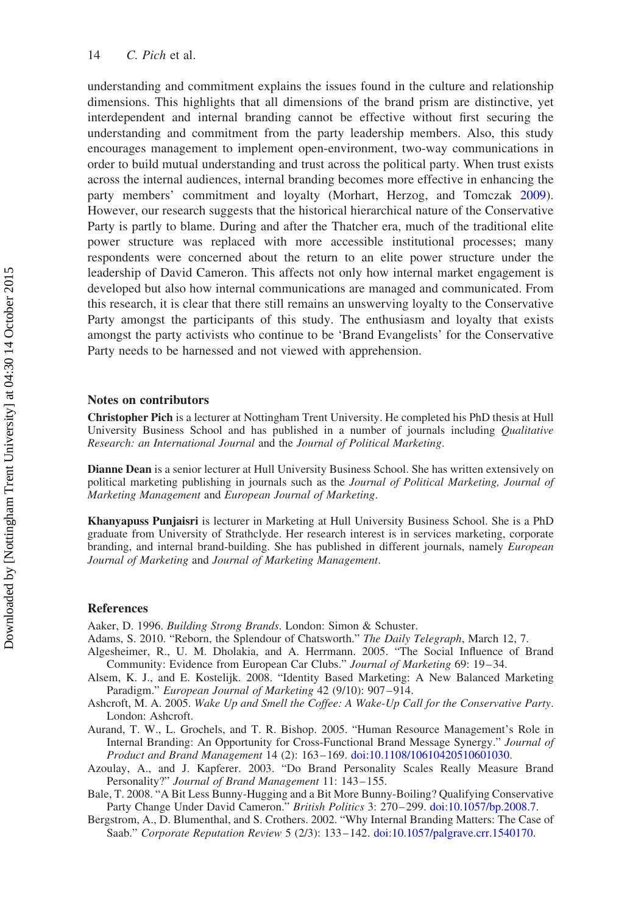understanding and commitment explains the issues found in the culture and relationship dimensions. This highlights that all dimensions of the brand prism are distinctive, yet interdependent and internal branding cannot be effective without first securing the understanding and commitment from the party leadership members. Also, this study encourages management to implement open-environment, two-way communications in order to build mutual understanding and trust across the political party. When trust exists across the internal audiences, internal branding becomes more effective in enhancing the party members' commitment and loyalty (Morhart, Herzog, and Tomczak [2009](#page-17-25)). However, our research suggests that the historical hierarchical nature of the Conservative Party is partly to blame. During and after the Thatcher era, much of the traditional elite power structure was replaced with more accessible institutional processes; many respondents were concerned about the return to an elite power structure under the leadership of David Cameron. This affects not only how internal market engagement is developed but also how internal communications are managed and communicated. From this research, it is clear that there still remains an unswerving loyalty to the Conservative Party amongst the participants of this study. The enthusiasm and loyalty that exists amongst the party activists who continue to be 'Brand Evangelists' for the Conservative Party needs to be harnessed and not viewed with apprehension.

# Notes on contributors

Christopher Pich is a lecturer at Nottingham Trent University. He completed his PhD thesis at Hull University Business School and has published in a number of journals including Qualitative Research: an International Journal and the Journal of Political Marketing.

Dianne Dean is a senior lecturer at Hull University Business School. She has written extensively on political marketing publishing in journals such as the Journal of Political Marketing, Journal of Marketing Management and European Journal of Marketing.

Khanyapuss Punjaisri is lecturer in Marketing at Hull University Business School. She is a PhD graduate from University of Strathclyde. Her research interest is in services marketing, corporate branding, and internal brand-building. She has published in different journals, namely European Journal of Marketing and Journal of Marketing Management.

#### <span id="page-14-5"></span><span id="page-14-0"></span>References

Aaker, D. 1996. Building Strong Brands. London: Simon & Schuster.

- Adams, S. 2010. "Reborn, the Splendour of Chatsworth." The Daily Telegraph, March 12, 7.
- <span id="page-14-1"></span>Algesheimer, R., U. M. Dholakia, and A. Herrmann. 2005. "The Social Influence of Brand Community: Evidence from European Car Clubs." Journal of Marketing 69: 19-34.
- <span id="page-14-7"></span>Alsem, K. J., and E. Kostelijk. 2008. "Identity Based Marketing: A New Balanced Marketing Paradigm." *European Journal of Marketing* 42 (9/10): 907–914.
- <span id="page-14-3"></span>Ashcroft, M. A. 2005. Wake Up and Smell the Coffee: A Wake-Up Call for the Conservative Party. London: Ashcroft.
- <span id="page-14-2"></span>Aurand, T. W., L. Grochels, and T. R. Bishop. 2005. "Human Resource Management's Role in Internal Branding: An Opportunity for Cross-Functional Brand Message Synergy." Journal of Product and Brand Management 14 (2): 163– 169. [doi:10.1108/10610420510601030.](http://dx.doi.org/doi:10.1108/10610420510601030)
- <span id="page-14-6"></span>Azoulay, A., and J. Kapferer. 2003. "Do Brand Personality Scales Really Measure Brand Personality?" Journal of Brand Management 11: 143–155.
- <span id="page-14-4"></span>Bale, T. 2008. "A Bit Less Bunny-Hugging and a Bit More Bunny-Boiling? Qualifying Conservative Party Change Under David Cameron." British Politics 3: 270-299. [doi:10.1057/bp.2008.7](http://dx.doi.org/doi:10.1057/bp.2008.7).
- Bergstrom, A., D. Blumenthal, and S. Crothers. 2002. "Why Internal Branding Matters: The Case of Saab." Corporate Reputation Review 5 (2/3): 133– 142. [doi:10.1057/palgrave.crr.1540170.](http://dx.doi.org/doi:10.1057/palgrave.crr.1540170)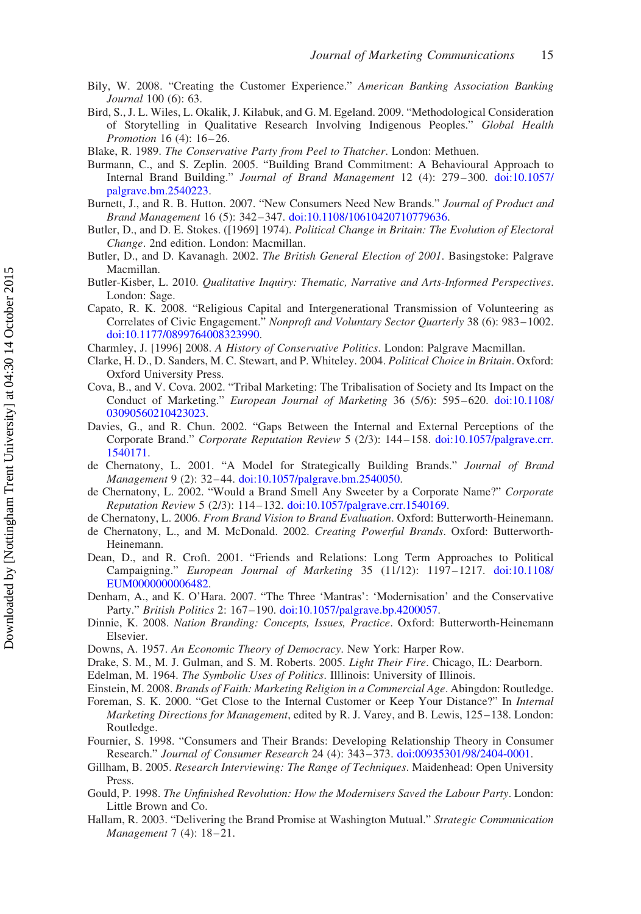- <span id="page-15-17"></span>Bily, W. 2008. "Creating the Customer Experience." American Banking Association Banking Journal 100 (6): 63.
- <span id="page-15-26"></span>Bird, S., J. L. Wiles, L. Okalik, J. Kilabuk, and G. M. Egeland. 2009. "Methodological Consideration of Storytelling in Qualitative Research Involving Indigenous Peoples." Global Health Promotion 16 (4): 16-26.
- <span id="page-15-21"></span>Blake, R. 1989. The Conservative Party from Peel to Thatcher. London: Methuen.
- <span id="page-15-13"></span>Burmann, C., and S. Zeplin. 2005. "Building Brand Commitment: A Behavioural Approach to Internal Brand Building." Journal of Brand Management 12 (4): 279– 300. [doi:10.1057/](http://dx.doi.org/doi:10.1057/palgrave.bm.2540223) [palgrave.bm.2540223](http://dx.doi.org/doi:10.1057/palgrave.bm.2540223).
- <span id="page-15-5"></span>Burnett, J., and R. B. Hutton. 2007. "New Consumers Need New Brands." Journal of Product and Brand Management 16 (5): 342– 347. [doi:10.1108/10610420710779636](http://dx.doi.org/doi:10.1108/10610420710779636).
- <span id="page-15-19"></span>Butler, D., and D. E. Stokes. ([1969] 1974). Political Change in Britain: The Evolution of Electoral Change. 2nd edition. London: Macmillan.
- <span id="page-15-28"></span>Butler, D., and D. Kavanagh. 2002. The British General Election of 2001. Basingstoke: Palgrave Macmillan.
- <span id="page-15-25"></span>Butler-Kisber, L. 2010. Qualitative Inquiry: Thematic, Narrative and Arts-Informed Perspectives. London: Sage.
- <span id="page-15-16"></span>Capato, R. K. 2008. "Religious Capital and Intergenerational Transmission of Volunteering as Correlates of Civic Engagement." Nonproft and Voluntary Sector Quarterly 38 (6): 983– 1002. [doi:10.1177/0899764008323990.](http://dx.doi.org/doi:10.1177/0899764008323990)
- <span id="page-15-22"></span>Charmley, J. [1996] 2008. A History of Conservative Politics. London: Palgrave Macmillan.
- <span id="page-15-20"></span>Clarke, H. D., D. Sanders, M. C. Stewart, and P. Whiteley. 2004. Political Choice in Britain. Oxford: Oxford University Press.
- <span id="page-15-6"></span>Cova, B., and V. Cova. 2002. "Tribal Marketing: The Tribalisation of Society and Its Impact on the Conduct of Marketing." European Journal of Marketing 36 (5/6): 595– 620. [doi:10.1108/](http://dx.doi.org/doi:10.1108/03090560210423023) [03090560210423023](http://dx.doi.org/doi:10.1108/03090560210423023).
- <span id="page-15-23"></span>Davies, G., and R. Chun. 2002. "Gaps Between the Internal and External Perceptions of the Corporate Brand." Corporate Reputation Review 5 (2/3): 144– 158. [doi:10.1057/palgrave.crr.](http://dx.doi.org/doi:10.1057/palgrave.crr.1540171) [1540171](http://dx.doi.org/doi:10.1057/palgrave.crr.1540171).
- <span id="page-15-4"></span>de Chernatony, L. 2001. "A Model for Strategically Building Brands." Journal of Brand Management 9 (2): 32 – 44. [doi:10.1057/palgrave.bm.2540050.](http://dx.doi.org/doi:10.1057/palgrave.bm.2540050)
- <span id="page-15-9"></span>de Chernatony, L. 2002. "Would a Brand Smell Any Sweeter by a Corporate Name?" Corporate Reputation Review 5 (2/3): 114– 132. [doi:10.1057/palgrave.crr.1540169.](http://dx.doi.org/doi:10.1057/palgrave.crr.1540169)
- <span id="page-15-8"></span><span id="page-15-3"></span>de Chernatony, L. 2006. From Brand Vision to Brand Evaluation. Oxford: Butterworth-Heinemann.
- de Chernatony, L., and M. McDonald. 2002. Creating Powerful Brands. Oxford: Butterworth-Heinemann.
- <span id="page-15-1"></span>Dean, D., and R. Croft. 2001. "Friends and Relations: Long Term Approaches to Political Campaigning." European Journal of Marketing 35 (11/12): 1197-1217. [doi:10.1108/](http://dx.doi.org/doi:10.1108/EUM0000000006482) [EUM0000000006482](http://dx.doi.org/doi:10.1108/EUM0000000006482).
- <span id="page-15-0"></span>Denham, A., and K. O'Hara. 2007. "The Three 'Mantras': 'Modernisation' and the Conservative Party." British Politics 2: 167–190. [doi:10.1057/palgrave.bp.4200057.](http://dx.doi.org/doi:10.1057/palgrave.bp.4200057)
- <span id="page-15-10"></span>Dinnie, K. 2008. Nation Branding: Concepts, Issues, Practice. Oxford: Butterworth-Heinemann Elsevier.
- <span id="page-15-27"></span><span id="page-15-12"></span>Downs, A. 1957. An Economic Theory of Democracy. New York: Harper Row.
- <span id="page-15-11"></span>Drake, S. M., M. J. Gulman, and S. M. Roberts. 2005. Light Their Fire. Chicago, IL: Dearborn.
- <span id="page-15-18"></span>Edelman, M. 1964. The Symbolic Uses of Politics. Illlinois: University of Illinois.
- <span id="page-15-15"></span>Einstein, M. 2008. Brands of Faith: Marketing Religion in a Commercial Age. Abingdon: Routledge.
- Foreman, S. K. 2000. "Get Close to the Internal Customer or Keep Your Distance?" In Internal Marketing Directions for Management, edited by R. J. Varey, and B. Lewis, 125– 138. London: Routledge.
- <span id="page-15-7"></span>Fournier, S. 1998. "Consumers and Their Brands: Developing Relationship Theory in Consumer Research." Journal of Consumer Research 24 (4): 343– 373. [doi:00935301/98/2404-0001](http://dx.doi.org/doi:00935301/98/2404-0001).
- <span id="page-15-24"></span>Gillham, B. 2005. Research Interviewing: The Range of Techniques. Maidenhead: Open University Press.
- <span id="page-15-2"></span>Gould, P. 1998. The Unfinished Revolution: How the Modernisers Saved the Labour Party. London: Little Brown and Co.
- <span id="page-15-14"></span>Hallam, R. 2003. "Delivering the Brand Promise at Washington Mutual." Strategic Communication Management 7 (4): 18-21.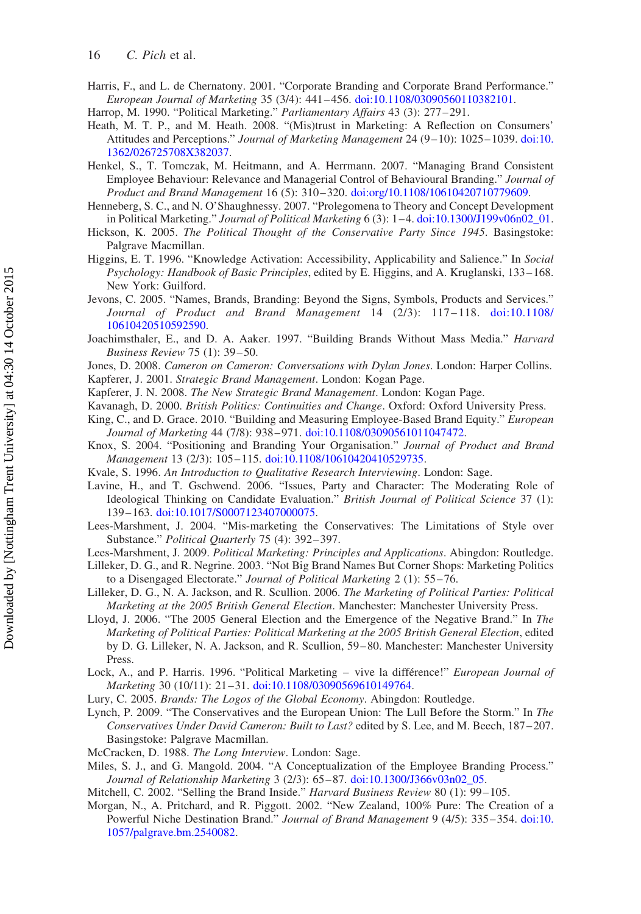<span id="page-16-8"></span>Harris, F., and L. de Chernatony. 2001. "Corporate Branding and Corporate Brand Performance." European Journal of Marketing 35 (3/4): 441– 456. [doi:10.1108/03090560110382101.](http://dx.doi.org/doi:10.1108/03090560110382101)

<span id="page-16-17"></span>Harrop, M. 1990. "Political Marketing." Parliamentary Affairs 43 (3): 277–291.

- <span id="page-16-27"></span>Heath, M. T. P., and M. Heath. 2008. "(Mis)trust in Marketing: A Reflection on Consumers' Attitudes and Perceptions." Journal of Marketing Management 24 (9–10): 1025–1039. [doi:10.](http://dx.doi.org/doi:10.1362/026725708X382037) [1362/026725708X382037](http://dx.doi.org/doi:10.1362/026725708X382037).
- <span id="page-16-12"></span>Henkel, S., T. Tomczak, M. Heitmann, and A. Herrmann. 2007. "Managing Brand Consistent Employee Behaviour: Relevance and Managerial Control of Behavioural Branding." Journal of Product and Brand Management 16 (5): 310– 320. [doi:org/10.1108/10610420710779609](http://dx.doi.org/doi:org/10.1108/10610420710779609).
- <span id="page-16-18"></span>Henneberg, S. C., and N. O'Shaughnessy. 2007. "Prolegomena to Theory and Concept Development in Political Marketing." Journal of Political Marketing 6 (3): 1 –4. [doi:10.1300/J199v06n02\\_01.](http://dx.doi.org/doi:10.1300/J199v06n02_01)
- <span id="page-16-20"></span>Hickson, K. 2005. The Political Thought of the Conservative Party Since 1945. Basingstoke: Palgrave Macmillan.
- <span id="page-16-13"></span>Higgins, E. T. 1996. "Knowledge Activation: Accessibility, Applicability and Salience." In Social Psychology: Handbook of Basic Principles, edited by E. Higgins, and A. Kruglanski, 133–168. New York: Guilford.
- <span id="page-16-4"></span>Jevons, C. 2005. "Names, Brands, Branding: Beyond the Signs, Symbols, Products and Services." Journal of Product and Brand Management 14 (2/3): 117-118. [doi:10.1108/](http://dx.doi.org/doi:10.1108/10610420510592590) [10610420510592590](http://dx.doi.org/doi:10.1108/10610420510592590).
- <span id="page-16-7"></span>Joachimsthaler, E., and D. A. Aaker. 1997. "Building Brands Without Mass Media." Harvard Business Review 75 (1): 39 – 50.
- <span id="page-16-24"></span><span id="page-16-2"></span>Jones, D. 2008. Cameron on Cameron: Conversations with Dylan Jones. London: Harper Collins.
- <span id="page-16-28"></span>Kapferer, J. 2001. Strategic Brand Management. London: Kogan Page.
- <span id="page-16-21"></span>Kapferer, J. N. 2008. The New Strategic Brand Management. London: Kogan Page.
- <span id="page-16-9"></span>Kavanagh, D. 2000. British Politics: Continuities and Change. Oxford: Oxford University Press.
- King, C., and D. Grace. 2010. "Building and Measuring Employee-Based Brand Equity." European Journal of Marketing 44 (7/8): 938– 971. [doi:10.1108/03090561011047472.](http://dx.doi.org/doi:10.1108/03090561011047472)
- <span id="page-16-3"></span>Knox, S. 2004. "Positioning and Branding Your Organisation." Journal of Product and Brand Management 13 (2/3): 105– 115. [doi:10.1108/10610420410529735.](http://dx.doi.org/x x)
- <span id="page-16-26"></span><span id="page-16-5"></span>Kvale, S. 1996. An Introduction to Qualitative Research Interviewing. London: Sage.
- Lavine, H., and T. Gschwend. 2006. "Issues, Party and Character: The Moderating Role of Ideological Thinking on Candidate Evaluation." British Journal of Political Science 37 (1): 139– 163. [doi:10.1017/S0007123407000075.](http://dx.doi.org/doi:10.1017/S0007123407000075)
- <span id="page-16-23"></span><span id="page-16-15"></span>Lees-Marshment, J. 2004. "Mis-marketing the Conservatives: The Limitations of Style over Substance." Political Quarterly 75 (4): 392-397.
- <span id="page-16-1"></span>Lees-Marshment, J. 2009. Political Marketing: Principles and Applications. Abingdon: Routledge.
- <span id="page-16-16"></span>Lilleker, D. G., and R. Negrine. 2003. "Not Big Brand Names But Corner Shops: Marketing Politics to a Disengaged Electorate." Journal of Political Marketing 2 (1): 55-76.
- <span id="page-16-0"></span>Lilleker, D. G., N. A. Jackson, and R. Scullion. 2006. The Marketing of Political Parties: Political Marketing at the 2005 British General Election. Manchester: Manchester University Press.
- Lloyd, J. 2006. "The 2005 General Election and the Emergence of the Negative Brand." In The Marketing of Political Parties: Political Marketing at the 2005 British General Election, edited by D. G. Lilleker, N. A. Jackson, and R. Scullion, 59 – 80. Manchester: Manchester University Press.
- <span id="page-16-19"></span><span id="page-16-6"></span>Lock, A., and P. Harris. 1996. "Political Marketing – vive la différence!" European Journal of Marketing 30 (10/11): 21 –31. [doi:10.1108/03090569610149764.](http://dx.doi.org/doi:10.1108/03090569610149764)
- <span id="page-16-22"></span>Lury, C. 2005. Brands: The Logos of the Global Economy. Abingdon: Routledge.
- <span id="page-16-25"></span>Lynch, P. 2009. "The Conservatives and the European Union: The Lull Before the Storm." In The Conservatives Under David Cameron: Built to Last? edited by S. Lee, and M. Beech, 187–207. Basingstoke: Palgrave Macmillan.
- <span id="page-16-11"></span>McCracken, D. 1988. The Long Interview. London: Sage.
- <span id="page-16-10"></span>Miles, S. J., and G. Mangold. 2004. "A Conceptualization of the Employee Branding Process." Journal of Relationship Marketing 3 (2/3): 65 – 87. [doi:10.1300/J366v03n02\\_05.](http://dx.doi.org/doi:10.1300/J366v03n02_05)
- <span id="page-16-14"></span>Mitchell, C. 2002. "Selling the Brand Inside." Harvard Business Review 80 (1): 99–105.
- Morgan, N., A. Pritchard, and R. Piggott. 2002. "New Zealand, 100% Pure: The Creation of a Powerful Niche Destination Brand." Journal of Brand Management 9 (4/5): 335– 354. [doi:10.](http://dx.doi.org/doi:10.1057/palgrave.bm.2540082) [1057/palgrave.bm.2540082.](http://dx.doi.org/doi:10.1057/palgrave.bm.2540082)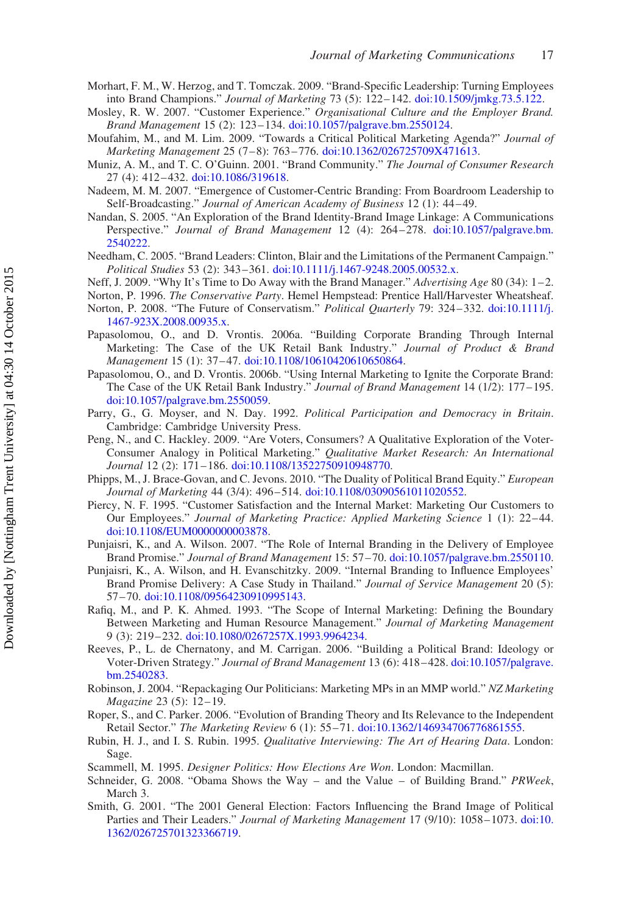- <span id="page-17-25"></span>Morhart, F. M., W. Herzog, and T. Tomczak. 2009. "Brand-Specific Leadership: Turning Employees into Brand Champions." Journal of Marketing 73 (5): 122– 142. [doi:10.1509/jmkg.73.5.122.](http://dx.doi.org/doi:10.1509/jmkg.73.5.122)
- <span id="page-17-15"></span>Mosley, R. W. 2007. "Customer Experience." Organisational Culture and the Employer Brand. Brand Management 15 (2): 123– 134. [doi:10.1057/palgrave.bm.2550124](http://dx.doi.org/doi:10.1057/palgrave.bm.2550124).
- <span id="page-17-20"></span>Moufahim, M., and M. Lim. 2009. "Towards a Critical Political Marketing Agenda?" Journal of Marketing Management 25 (7– 8): 763– 776. [doi:10.1362/026725709X471613](http://dx.doi.org/doi:10.1362/026725709X471613).
- <span id="page-17-5"></span>Muniz, A. M., and T. C. O'Guinn. 2001. "Brand Community." The Journal of Consumer Research 27 (4): 412-432. [doi:10.1086/319618](http://dx.doi.org/doi:10.1086/319618).
- <span id="page-17-12"></span>Nadeem, M. M. 2007. "Emergence of Customer-Centric Branding: From Boardroom Leadership to Self-Broadcasting." Journal of American Academy of Business 12 (1): 44 – 49.
- <span id="page-17-9"></span>Nandan, S. 2005. "An Exploration of the Brand Identity-Brand Image Linkage: A Communications Perspective." Journal of Brand Management 12 (4): 264–278. [doi:10.1057/palgrave.bm.](http://dx.doi.org/doi:10.1057/palgrave.bm.2540222) [2540222](http://dx.doi.org/doi:10.1057/palgrave.bm.2540222).
- <span id="page-17-8"></span>Needham, C. 2005. "Brand Leaders: Clinton, Blair and the Limitations of the Permanent Campaign." Political Studies 53 (2): 343– 361. [doi:10.1111/j.1467-9248.2005.00532.x.](http://dx.doi.org/doi:10.1111/j.1467-9248.2005.00532.x)
- <span id="page-17-6"></span>Neff, J. 2009. "Why It's Time to Do Away with the Brand Manager." Advertising Age 80 (34): 1 – 2.
- <span id="page-17-0"></span>Norton, P. 1996. The Conservative Party. Hemel Hempstead: Prentice Hall/Harvester Wheatsheaf.
- <span id="page-17-24"></span>Norton, P. 2008. "The Future of Conservatism." Political Quarterly 79: 324– 332. [doi:10.1111/j.](http://dx.doi.org/doi:10.1111/j.1467-923X.2008.00935.x) [1467-923X.2008.00935.x](http://dx.doi.org/doi:10.1111/j.1467-923X.2008.00935.x).
- <span id="page-17-10"></span>Papasolomou, O., and D. Vrontis. 2006a. "Building Corporate Branding Through Internal Marketing: The Case of the UK Retail Bank Industry." Journal of Product & Brand Management 15 (1): 37-47. [doi:10.1108/10610420610650864.](http://dx.doi.org/doi:10.1108/10610420610650864)
- <span id="page-17-13"></span>Papasolomou, O., and D. Vrontis. 2006b. "Using Internal Marketing to Ignite the Corporate Brand: The Case of the UK Retail Bank Industry." Journal of Brand Management 14 (1/2): 177–195. [doi:10.1057/palgrave.bm.2550059](http://dx.doi.org/doi:10.1057/palgrave.bm.2550059).
- <span id="page-17-18"></span>Parry, G., G. Moyser, and N. Day. 1992. Political Participation and Democracy in Britain. Cambridge: Cambridge University Press.
- <span id="page-17-4"></span>Peng, N., and C. Hackley. 2009. "Are Voters, Consumers? A Qualitative Exploration of the Voter-Consumer Analogy in Political Marketing." Qualitative Market Research: An International Journal 12 (2): 171– 186. [doi:10.1108/13522750910948770](http://dx.doi.org/doi:10.1108/13522750910948770).
- <span id="page-17-21"></span>Phipps, M., J. Brace-Govan, and C. Jevons. 2010. "The Duality of Political Brand Equity." European Journal of Marketing 44 (3/4): 496-514. [doi:10.1108/03090561011020552.](http://dx.doi.org/doi:10.1108/03090561011020552)
- <span id="page-17-16"></span>Piercy, N. F. 1995. "Customer Satisfaction and the Internal Market: Marketing Our Customers to Our Employees." Journal of Marketing Practice: Applied Marketing Science 1 (1): 22 –44. [doi:10.1108/EUM0000000003878.](http://dx.doi.org/doi:10.1108/EUM0000000003878)
- <span id="page-17-14"></span>Punjaisri, K., and A. Wilson. 2007. "The Role of Internal Branding in the Delivery of Employee Brand Promise." Journal of Brand Management 15: 57 – 70. [doi:10.1057/palgrave.bm.2550110.](http://dx.doi.org/doi:10.1057/palgrave.bm.2550110)
- <span id="page-17-11"></span>Punjaisri, K., A. Wilson, and H. Evanschitzky. 2009. "Internal Branding to Influence Employees' Brand Promise Delivery: A Case Study in Thailand." Journal of Service Management 20 (5): 57 – 70. [doi:10.1108/09564230910995143](http://dx.doi.org/doi:10.1108/09564230910995143).
- <span id="page-17-17"></span>Rafiq, M., and P. K. Ahmed. 1993. "The Scope of Internal Marketing: Defining the Boundary Between Marketing and Human Resource Management." Journal of Marketing Management 9 (3): 219-232. [doi:10.1080/0267257X.1993.9964234](http://dx.doi.org/doi:10.1080/0267257X.1993.9964234).
- <span id="page-17-1"></span>Reeves, P., L. de Chernatony, and M. Carrigan. 2006. "Building a Political Brand: Ideology or Voter-Driven Strategy." Journal of Brand Management 13 (6): 418– 428. [doi:10.1057/palgrave.](http://dx.doi.org/doi:10.1057/palgrave.bm.2540283) [bm.2540283](http://dx.doi.org/doi:10.1057/palgrave.bm.2540283).
- <span id="page-17-19"></span>Robinson, J. 2004. "Repackaging Our Politicians: Marketing MPs in an MMP world." NZ Marketing Magazine 23 (5): 12-19.
- <span id="page-17-7"></span>Roper, S., and C. Parker. 2006. "Evolution of Branding Theory and Its Relevance to the Independent Retail Sector." The Marketing Review 6 (1): 55 – 71. [doi:10.1362/146934706776861555.](http://dx.doi.org/doi:10.1362/146934706776861555)
- <span id="page-17-22"></span>Rubin, H. J., and I. S. Rubin. 1995. Qualitative Interviewing: The Art of Hearing Data. London: Sage.
- <span id="page-17-23"></span><span id="page-17-2"></span>Scammell, M. 1995. Designer Politics: How Elections Are Won. London: Macmillan.
- Schneider, G. 2008. "Obama Shows the Way and the Value of Building Brand." PRWeek, March 3.
- <span id="page-17-3"></span>Smith, G. 2001. "The 2001 General Election: Factors Influencing the Brand Image of Political Parties and Their Leaders." Journal of Marketing Management 17 (9/10): 1058–1073. [doi:10.](http://dx.doi.org/doi:10.1362/026725701323366719) [1362/026725701323366719](http://dx.doi.org/doi:10.1362/026725701323366719).